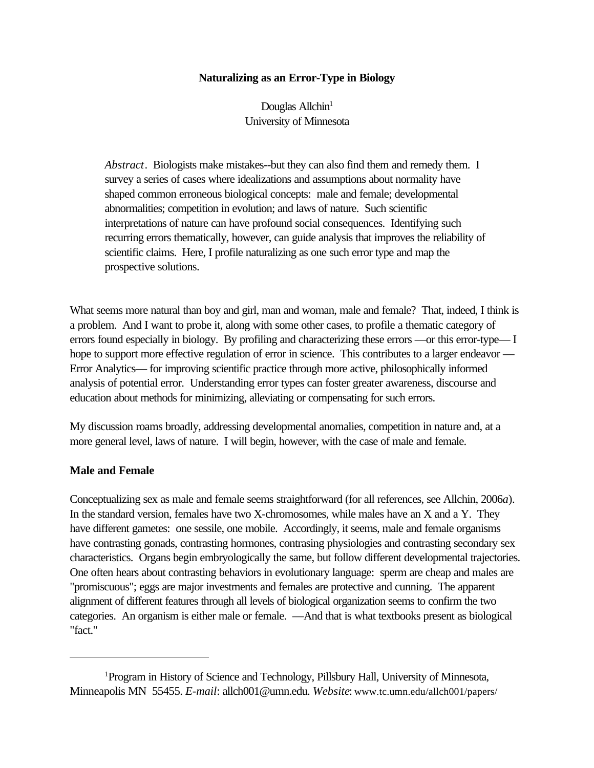## **Naturalizing as an Error-Type in Biology**

Douglas Allchin $1$ University of Minnesota

*Abstract*. Biologists make mistakes--but they can also find them and remedy them. I survey a series of cases where idealizations and assumptions about normality have shaped common erroneous biological concepts: male and female; developmental abnormalities; competition in evolution; and laws of nature. Such scientific interpretations of nature can have profound social consequences. Identifying such recurring errors thematically, however, can guide analysis that improves the reliability of scientific claims. Here, I profile naturalizing as one such error type and map the prospective solutions.

What seems more natural than boy and girl, man and woman, male and female? That, indeed, I think is a problem. And I want to probe it, along with some other cases, to profile a thematic category of errors found especially in biology. By profiling and characterizing these errors —or this error-type— I hope to support more effective regulation of error in science. This contributes to a larger endeavor — Error Analytics— for improving scientific practice through more active, philosophically informed analysis of potential error. Understanding error types can foster greater awareness, discourse and education about methods for minimizing, alleviating or compensating for such errors.

My discussion roams broadly, addressing developmental anomalies, competition in nature and, at a more general level, laws of nature. I will begin, however, with the case of male and female.

### **Male and Female**

Conceptualizing sex as male and female seems straightforward (for all references, see Allchin, 2006*a*). In the standard version, females have two X-chromosomes, while males have an X and a Y. They have different gametes: one sessile, one mobile. Accordingly, it seems, male and female organisms have contrasting gonads, contrasting hormones, contrasing physiologies and contrasting secondary sex characteristics. Organs begin embryologically the same, but follow different developmental trajectories. One often hears about contrasting behaviors in evolutionary language: sperm are cheap and males are "promiscuous"; eggs are major investments and females are protective and cunning. The apparent alignment of different features through all levels of biological organization seems to confirm the two categories. An organism is either male or female. —And that is what textbooks present as biological "fact."

<sup>1</sup>Program in History of Science and Technology, Pillsbury Hall, University of Minnesota, Minneapolis MN 55455. *E-mail*: allch001@umn.edu. *Website*: www.tc.umn.edu/allch001/papers/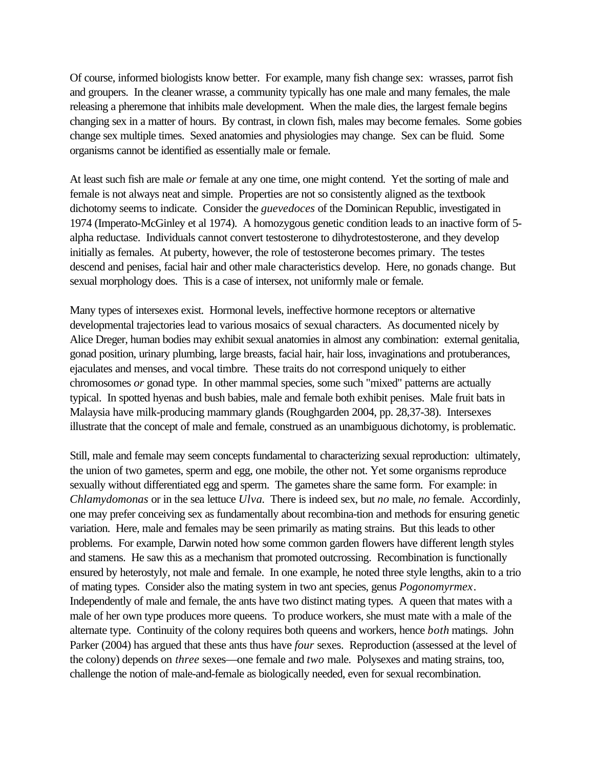Of course, informed biologists know better. For example, many fish change sex: wrasses, parrot fish and groupers. In the cleaner wrasse, a community typically has one male and many females, the male releasing a pheremone that inhibits male development. When the male dies, the largest female begins changing sex in a matter of hours. By contrast, in clown fish, males may become females. Some gobies change sex multiple times. Sexed anatomies and physiologies may change. Sex can be fluid. Some organisms cannot be identified as essentially male or female.

At least such fish are male *or* female at any one time, one might contend. Yet the sorting of male and female is not always neat and simple. Properties are not so consistently aligned as the textbook dichotomy seems to indicate. Consider the *guevedoces* of the Dominican Republic, investigated in 1974 (Imperato-McGinley et al 1974). A homozygous genetic condition leads to an inactive form of 5 alpha reductase. Individuals cannot convert testosterone to dihydrotestosterone, and they develop initially as females. At puberty, however, the role of testosterone becomes primary. The testes descend and penises, facial hair and other male characteristics develop. Here, no gonads change. But sexual morphology does. This is a case of intersex, not uniformly male or female.

Many types of intersexes exist. Hormonal levels, ineffective hormone receptors or alternative developmental trajectories lead to various mosaics of sexual characters. As documented nicely by Alice Dreger, human bodies may exhibit sexual anatomies in almost any combination: external genitalia, gonad position, urinary plumbing, large breasts, facial hair, hair loss, invaginations and protuberances, ejaculates and menses, and vocal timbre. These traits do not correspond uniquely to either chromosomes *or* gonad type. In other mammal species, some such "mixed" patterns are actually typical. In spotted hyenas and bush babies, male and female both exhibit penises. Male fruit bats in Malaysia have milk-producing mammary glands (Roughgarden 2004, pp. 28,37-38). Intersexes illustrate that the concept of male and female, construed as an unambiguous dichotomy, is problematic.

Still, male and female may seem concepts fundamental to characterizing sexual reproduction: ultimately, the union of two gametes, sperm and egg, one mobile, the other not. Yet some organisms reproduce sexually without differentiated egg and sperm. The gametes share the same form. For example: in *Chlamydomonas* or in the sea lettuce *Ulva*. There is indeed sex, but *no* male, *no* female. Accordinly, one may prefer conceiving sex as fundamentally about recombina-tion and methods for ensuring genetic variation. Here, male and females may be seen primarily as mating strains. But this leads to other problems. For example, Darwin noted how some common garden flowers have different length styles and stamens. He saw this as a mechanism that promoted outcrossing. Recombination is functionally ensured by heterostyly, not male and female. In one example, he noted three style lengths, akin to a trio of mating types. Consider also the mating system in two ant species, genus *Pogonomyrmex*. Independently of male and female, the ants have two distinct mating types. A queen that mates with a male of her own type produces more queens. To produce workers, she must mate with a male of the alternate type. Continuity of the colony requires both queens and workers, hence *both* matings. John Parker (2004) has argued that these ants thus have *four* sexes. Reproduction (assessed at the level of the colony) depends on *three* sexes—one female and *two* male. Polysexes and mating strains, too, challenge the notion of male-and-female as biologically needed, even for sexual recombination.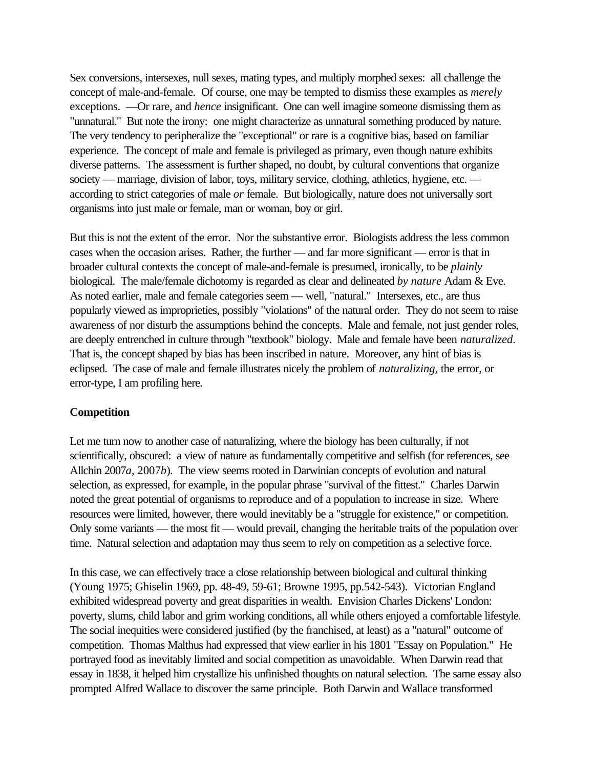Sex conversions, intersexes, null sexes, mating types, and multiply morphed sexes: all challenge the concept of male-and-female. Of course, one may be tempted to dismiss these examples as *merely* exceptions. —Or rare, and *hence* insignificant. One can well imagine someone dismissing them as "unnatural." But note the irony: one might characterize as unnatural something produced by nature. The very tendency to peripheralize the "exceptional" or rare is a cognitive bias, based on familiar experience. The concept of male and female is privileged as primary, even though nature exhibits diverse patterns. The assessment is further shaped, no doubt, by cultural conventions that organize society — marriage, division of labor, toys, military service, clothing, athletics, hygiene, etc. according to strict categories of male *or* female. But biologically, nature does not universally sort organisms into just male or female, man or woman, boy or girl.

But this is not the extent of the error. Nor the substantive error. Biologists address the less common cases when the occasion arises. Rather, the further — and far more significant — error is that in broader cultural contexts the concept of male-and-female is presumed, ironically, to be *plainly* biological. The male/female dichotomy is regarded as clear and delineated *by nature* Adam & Eve. As noted earlier, male and female categories seem — well, "natural." Intersexes, etc., are thus popularly viewed as improprieties, possibly "violations" of the natural order. They do not seem to raise awareness of nor disturb the assumptions behind the concepts. Male and female, not just gender roles, are deeply entrenched in culture through "textbook" biology. Male and female have been *naturalized*. That is, the concept shaped by bias has been inscribed in nature. Moreover, any hint of bias is eclipsed. The case of male and female illustrates nicely the problem of *naturalizing,* the error, or error-type, I am profiling here*.*

#### **Competition**

Let me turn now to another case of naturalizing, where the biology has been culturally, if not scientifically, obscured: a view of nature as fundamentally competitive and selfish (for references, see Allchin 2007*a*, 2007*b*). The view seems rooted in Darwinian concepts of evolution and natural selection, as expressed, for example, in the popular phrase "survival of the fittest." Charles Darwin noted the great potential of organisms to reproduce and of a population to increase in size. Where resources were limited, however, there would inevitably be a "struggle for existence," or competition. Only some variants — the most fit — would prevail, changing the heritable traits of the population over time. Natural selection and adaptation may thus seem to rely on competition as a selective force.

In this case, we can effectively trace a close relationship between biological and cultural thinking (Young 1975; Ghiselin 1969, pp. 48-49, 59-61; Browne 1995, pp.542-543). Victorian England exhibited widespread poverty and great disparities in wealth. Envision Charles Dickens' London: poverty, slums, child labor and grim working conditions, all while others enjoyed a comfortable lifestyle. The social inequities were considered justified (by the franchised, at least) as a "natural" outcome of competition. Thomas Malthus had expressed that view earlier in his 1801 "Essay on Population." He portrayed food as inevitably limited and social competition as unavoidable. When Darwin read that essay in 1838, it helped him crystallize his unfinished thoughts on natural selection. The same essay also prompted Alfred Wallace to discover the same principle. Both Darwin and Wallace transformed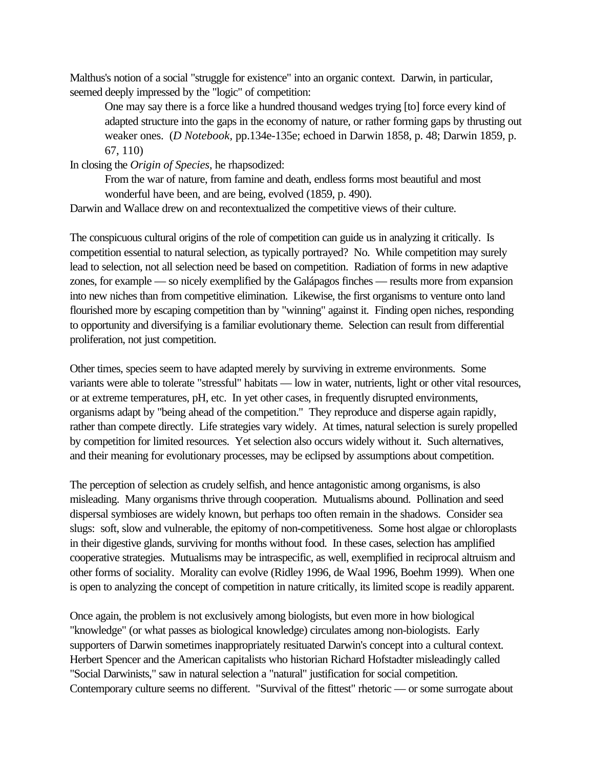Malthus's notion of a social "struggle for existence" into an organic context. Darwin, in particular, seemed deeply impressed by the "logic" of competition:

One may say there is a force like a hundred thousand wedges trying [to] force every kind of adapted structure into the gaps in the economy of nature, or rather forming gaps by thrusting out weaker ones. (*D Notebook,* pp.134e-135e; echoed in Darwin 1858, p. 48; Darwin 1859, p. 67, 110)

In closing the *Origin of Species*, he rhapsodized:

From the war of nature, from famine and death, endless forms most beautiful and most wonderful have been, and are being, evolved (1859, p. 490).

Darwin and Wallace drew on and recontextualized the competitive views of their culture.

The conspicuous cultural origins of the role of competition can guide us in analyzing it critically. Is competition essential to natural selection, as typically portrayed? No. While competition may surely lead to selection, not all selection need be based on competition. Radiation of forms in new adaptive zones, for example — so nicely exemplified by the Galápagos finches — results more from expansion into new niches than from competitive elimination. Likewise, the first organisms to venture onto land flourished more by escaping competition than by "winning" against it. Finding open niches, responding to opportunity and diversifying is a familiar evolutionary theme. Selection can result from differential proliferation, not just competition.

Other times, species seem to have adapted merely by surviving in extreme environments. Some variants were able to tolerate "stressful" habitats — low in water, nutrients, light or other vital resources, or at extreme temperatures, pH, etc. In yet other cases, in frequently disrupted environments, organisms adapt by "being ahead of the competition." They reproduce and disperse again rapidly, rather than compete directly. Life strategies vary widely. At times, natural selection is surely propelled by competition for limited resources. Yet selection also occurs widely without it. Such alternatives, and their meaning for evolutionary processes, may be eclipsed by assumptions about competition.

The perception of selection as crudely selfish, and hence antagonistic among organisms, is also misleading. Many organisms thrive through cooperation. Mutualisms abound. Pollination and seed dispersal symbioses are widely known, but perhaps too often remain in the shadows. Consider sea slugs: soft, slow and vulnerable, the epitomy of non-competitiveness. Some host algae or chloroplasts in their digestive glands, surviving for months without food. In these cases, selection has amplified cooperative strategies. Mutualisms may be intraspecific, as well, exemplified in reciprocal altruism and other forms of sociality. Morality can evolve (Ridley 1996, de Waal 1996, Boehm 1999). When one is open to analyzing the concept of competition in nature critically, its limited scope is readily apparent.

Once again, the problem is not exclusively among biologists, but even more in how biological "knowledge" (or what passes as biological knowledge) circulates among non-biologists. Early supporters of Darwin sometimes inappropriately resituated Darwin's concept into a cultural context. Herbert Spencer and the American capitalists who historian Richard Hofstadter misleadingly called "Social Darwinists," saw in natural selection a "natural" justification for social competition. Contemporary culture seems no different. "Survival of the fittest" rhetoric — or some surrogate about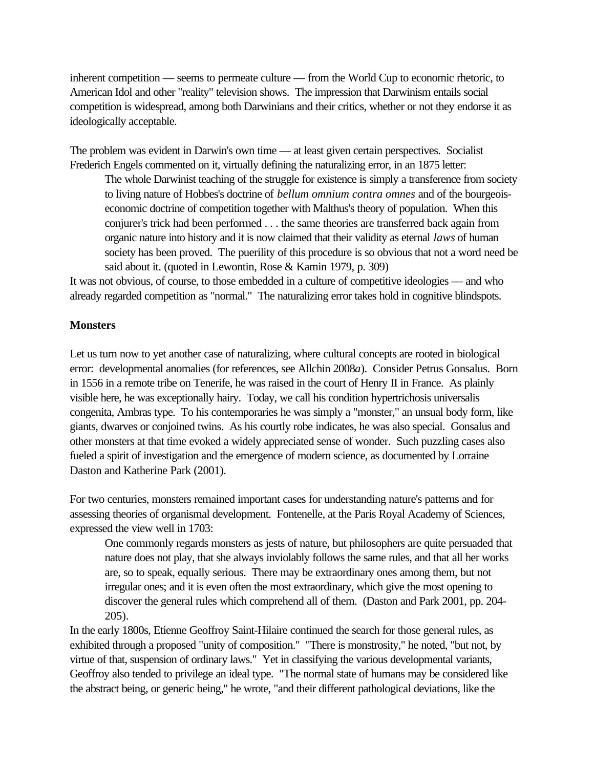inherent competition — seems to permeate culture — from the World Cup to economic rhetoric, to American Idol and other "reality" television shows. The impression that Darwinism entails social competition is widespread, among both Darwinians and their critics, whether or not they endorse it as ideologically acceptable.

The problem was evident in Darwin's own time — at least given certain perspectives. Socialist Frederich Engels commented on it, virtually defining the naturalizing error, in an 1875 letter:

The whole Darwinist teaching of the struggle for existence is simply a transference from society to living nature of Hobbes's doctrine of *bellum omnium contra omnes* and of the bourgeoiseconomic doctrine of competition together with Malthus's theory of population. When this conjurer's trick had been performed . . . the same theories are transferred back again from organic nature into history and it is now claimed that their validity as eternal *laws* of human society has been proved. The puerility of this procedure is so obvious that not a word need be said about it. (quoted in Lewontin, Rose & Kamin 1979, p. 309)

It was not obvious, of course, to those embedded in a culture of competitive ideologies — and who already regarded competition as "normal." The naturalizing error takes hold in cognitive blindspots.

## **Monsters**

Let us turn now to yet another case of naturalizing, where cultural concepts are rooted in biological error: developmental anomalies (for references, see Allchin 2008*a*). Consider Petrus Gonsalus. Born in 1556 in a remote tribe on Tenerife, he was raised in the court of Henry II in France. As plainly visible here, he was exceptionally hairy. Today, we call his condition hypertrichosis universalis congenita, Ambras type. To his contemporaries he was simply a "monster," an unsual body form, like giants, dwarves or conjoined twins. As his courtly robe indicates, he was also special. Gonsalus and other monsters at that time evoked a widely appreciated sense of wonder. Such puzzling cases also fueled a spirit of investigation and the emergence of modern science, as documented by Lorraine Daston and Katherine Park (2001).

For two centuries, monsters remained important cases for understanding nature's patterns and for assessing theories of organismal development. Fontenelle, at the Paris Royal Academy of Sciences, expressed the view well in 1703:

One commonly regards monsters as jests of nature, but philosophers are quite persuaded that nature does not play, that she always inviolably follows the same rules, and that all her works are, so to speak, equally serious. There may be extraordinary ones among them, but not irregular ones; and it is even often the most extraordinary, which give the most opening to discover the general rules which comprehend all of them. (Daston and Park 2001, pp. 204- 205).

In the early 1800s, Etienne Geoffroy Saint-Hilaire continued the search for those general rules, as exhibited through a proposed "unity of composition." "There is monstrosity," he noted, "but not, by virtue of that, suspension of ordinary laws." Yet in classifying the various developmental variants, Geoffroy also tended to privilege an ideal type. "The normal state of humans may be considered like the abstract being, or generic being," he wrote, "and their different pathological deviations, like the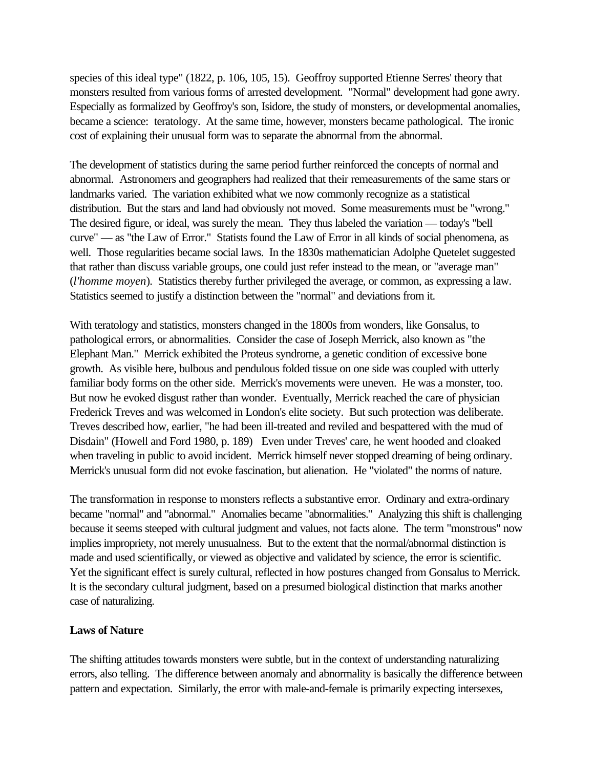species of this ideal type" (1822, p. 106, 105, 15). Geoffroy supported Etienne Serres' theory that monsters resulted from various forms of arrested development. "Normal" development had gone awry. Especially as formalized by Geoffroy's son, Isidore, the study of monsters, or developmental anomalies, became a science: teratology. At the same time, however, monsters became pathological. The ironic cost of explaining their unusual form was to separate the abnormal from the abnormal.

The development of statistics during the same period further reinforced the concepts of normal and abnormal. Astronomers and geographers had realized that their remeasurements of the same stars or landmarks varied. The variation exhibited what we now commonly recognize as a statistical distribution. But the stars and land had obviously not moved. Some measurements must be "wrong." The desired figure, or ideal, was surely the mean. They thus labeled the variation — today's "bell curve" — as "the Law of Error." Statists found the Law of Error in all kinds of social phenomena, as well. Those regularities became social laws. In the 1830s mathematician Adolphe Quetelet suggested that rather than discuss variable groups, one could just refer instead to the mean, or "average man" (*l'homme moyen*). Statistics thereby further privileged the average, or common, as expressing a law. Statistics seemed to justify a distinction between the "normal" and deviations from it.

With teratology and statistics, monsters changed in the 1800s from wonders, like Gonsalus, to pathological errors, or abnormalities. Consider the case of Joseph Merrick, also known as "the Elephant Man." Merrick exhibited the Proteus syndrome, a genetic condition of excessive bone growth. As visible here, bulbous and pendulous folded tissue on one side was coupled with utterly familiar body forms on the other side. Merrick's movements were uneven. He was a monster, too. But now he evoked disgust rather than wonder. Eventually, Merrick reached the care of physician Frederick Treves and was welcomed in London's elite society. But such protection was deliberate. Treves described how, earlier, "he had been ill-treated and reviled and bespattered with the mud of Disdain" (Howell and Ford 1980, p. 189) Even under Treves' care, he went hooded and cloaked when traveling in public to avoid incident. Merrick himself never stopped dreaming of being ordinary. Merrick's unusual form did not evoke fascination, but alienation. He "violated" the norms of nature.

The transformation in response to monsters reflects a substantive error. Ordinary and extra-ordinary became "normal" and "abnormal." Anomalies became "abnormalities." Analyzing this shift is challenging because it seems steeped with cultural judgment and values, not facts alone. The term "monstrous" now implies impropriety, not merely unusualness. But to the extent that the normal/abnormal distinction is made and used scientifically, or viewed as objective and validated by science, the error is scientific. Yet the significant effect is surely cultural, reflected in how postures changed from Gonsalus to Merrick. It is the secondary cultural judgment, based on a presumed biological distinction that marks another case of naturalizing.

### **Laws of Nature**

The shifting attitudes towards monsters were subtle, but in the context of understanding naturalizing errors, also telling. The difference between anomaly and abnormality is basically the difference between pattern and expectation. Similarly, the error with male-and-female is primarily expecting intersexes,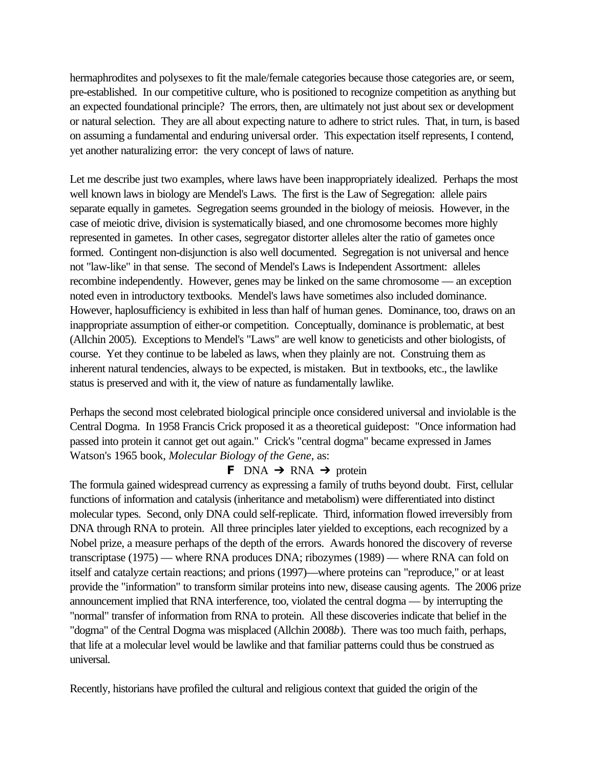hermaphrodites and polysexes to fit the male/female categories because those categories are, or seem, pre-established. In our competitive culture, who is positioned to recognize competition as anything but an expected foundational principle? The errors, then, are ultimately not just about sex or development or natural selection. They are all about expecting nature to adhere to strict rules. That, in turn, is based on assuming a fundamental and enduring universal order. This expectation itself represents, I contend, yet another naturalizing error: the very concept of laws of nature.

Let me describe just two examples, where laws have been inappropriately idealized. Perhaps the most well known laws in biology are Mendel's Laws. The first is the Law of Segregation: allele pairs separate equally in gametes. Segregation seems grounded in the biology of meiosis. However, in the case of meiotic drive, division is systematically biased, and one chromosome becomes more highly represented in gametes. In other cases, segregator distorter alleles alter the ratio of gametes once formed. Contingent non-disjunction is also well documented. Segregation is not universal and hence not "law-like" in that sense. The second of Mendel's Laws is Independent Assortment: alleles recombine independently. However, genes may be linked on the same chromosome — an exception noted even in introductory textbooks. Mendel's laws have sometimes also included dominance. However, haplosufficiency is exhibited in less than half of human genes. Dominance, too, draws on an inappropriate assumption of either-or competition. Conceptually, dominance is problematic, at best (Allchin 2005). Exceptions to Mendel's "Laws" are well know to geneticists and other biologists, of course. Yet they continue to be labeled as laws, when they plainly are not. Construing them as inherent natural tendencies, always to be expected, is mistaken. But in textbooks, etc., the lawlike status is preserved and with it, the view of nature as fundamentally lawlike.

Perhaps the second most celebrated biological principle once considered universal and inviolable is the Central Dogma. In 1958 Francis Crick proposed it as a theoretical guidepost: "Once information had passed into protein it cannot get out again." Crick's "central dogma" became expressed in James Watson's 1965 book, *Molecular Biology of the Gene*, as:

# **F** DNA  $\rightarrow$  RNA  $\rightarrow$  protein

The formula gained widespread currency as expressing a family of truths beyond doubt. First, cellular functions of information and catalysis (inheritance and metabolism) were differentiated into distinct molecular types. Second, only DNA could self-replicate. Third, information flowed irreversibly from DNA through RNA to protein. All three principles later yielded to exceptions, each recognized by a Nobel prize, a measure perhaps of the depth of the errors. Awards honored the discovery of reverse transcriptase (1975) — where RNA produces DNA; ribozymes (1989) — where RNA can fold on itself and catalyze certain reactions; and prions (1997)—where proteins can "reproduce," or at least provide the "information" to transform similar proteins into new, disease causing agents. The 2006 prize announcement implied that RNA interference, too, violated the central dogma — by interrupting the "normal" transfer of information from RNA to protein. All these discoveries indicate that belief in the "dogma" of the Central Dogma was misplaced (Allchin 2008*b*). There was too much faith, perhaps, that life at a molecular level would be lawlike and that familiar patterns could thus be construed as universal.

Recently, historians have profiled the cultural and religious context that guided the origin of the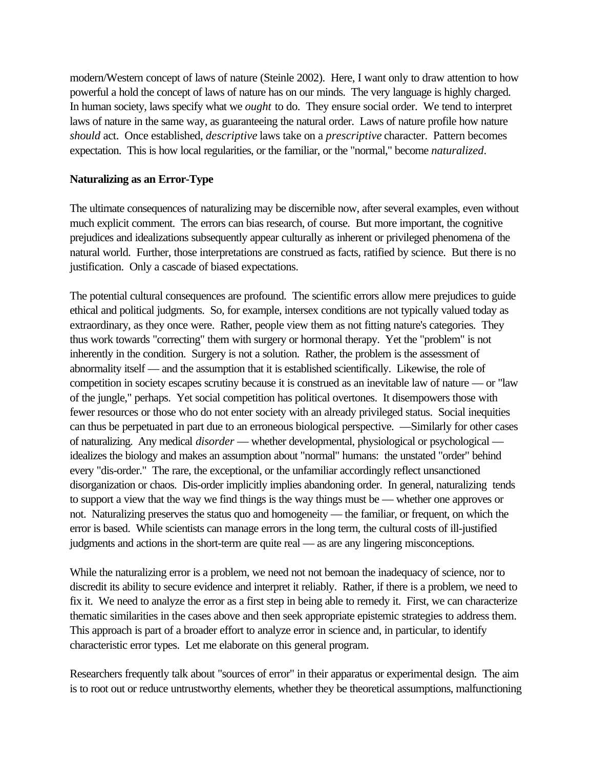modern/Western concept of laws of nature (Steinle 2002). Here, I want only to draw attention to how powerful a hold the concept of laws of nature has on our minds. The very language is highly charged. In human society, laws specify what we *ought* to do. They ensure social order. We tend to interpret laws of nature in the same way, as guaranteeing the natural order. Laws of nature profile how nature *should* act. Once established, *descriptive* laws take on a *prescriptive* character. Pattern becomes expectation. This is how local regularities, or the familiar, or the "normal," become *naturalized*.

#### **Naturalizing as an Error-Type**

The ultimate consequences of naturalizing may be discernible now, after several examples, even without much explicit comment. The errors can bias research, of course. But more important, the cognitive prejudices and idealizations subsequently appear culturally as inherent or privileged phenomena of the natural world. Further, those interpretations are construed as facts, ratified by science. But there is no justification. Only a cascade of biased expectations.

The potential cultural consequences are profound. The scientific errors allow mere prejudices to guide ethical and political judgments. So, for example, intersex conditions are not typically valued today as extraordinary, as they once were. Rather, people view them as not fitting nature's categories. They thus work towards "correcting" them with surgery or hormonal therapy. Yet the "problem" is not inherently in the condition. Surgery is not a solution. Rather, the problem is the assessment of abnormality itself — and the assumption that it is established scientifically. Likewise, the role of competition in society escapes scrutiny because it is construed as an inevitable law of nature — or "law of the jungle," perhaps. Yet social competition has political overtones. It disempowers those with fewer resources or those who do not enter society with an already privileged status. Social inequities can thus be perpetuated in part due to an erroneous biological perspective. —Similarly for other cases of naturalizing. Any medical *disorder* — whether developmental, physiological or psychological idealizes the biology and makes an assumption about "normal" humans: the unstated "order" behind every "dis-order." The rare, the exceptional, or the unfamiliar accordingly reflect unsanctioned disorganization or chaos. Dis-order implicitly implies abandoning order. In general, naturalizing tends to support a view that the way we find things is the way things must be — whether one approves or not. Naturalizing preserves the status quo and homogeneity — the familiar, or frequent, on which the error is based. While scientists can manage errors in the long term, the cultural costs of ill-justified judgments and actions in the short-term are quite real — as are any lingering misconceptions.

While the naturalizing error is a problem, we need not not bemoan the inadequacy of science, nor to discredit its ability to secure evidence and interpret it reliably. Rather, if there is a problem, we need to fix it. We need to analyze the error as a first step in being able to remedy it. First, we can characterize thematic similarities in the cases above and then seek appropriate epistemic strategies to address them. This approach is part of a broader effort to analyze error in science and, in particular, to identify characteristic error types. Let me elaborate on this general program.

Researchers frequently talk about "sources of error" in their apparatus or experimental design. The aim is to root out or reduce untrustworthy elements, whether they be theoretical assumptions, malfunctioning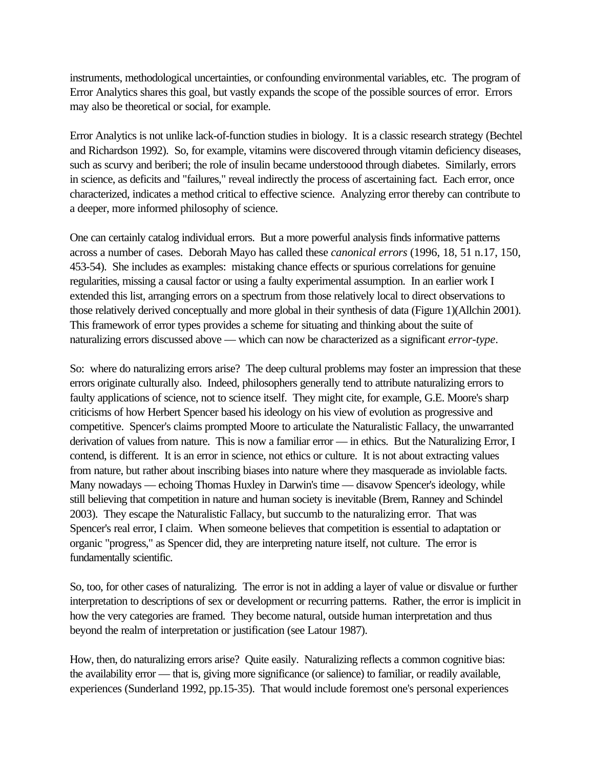instruments, methodological uncertainties, or confounding environmental variables, etc. The program of Error Analytics shares this goal, but vastly expands the scope of the possible sources of error. Errors may also be theoretical or social, for example.

Error Analytics is not unlike lack-of-function studies in biology. It is a classic research strategy (Bechtel and Richardson 1992). So, for example, vitamins were discovered through vitamin deficiency diseases, such as scurvy and beriberi; the role of insulin became understoood through diabetes. Similarly, errors in science, as deficits and "failures," reveal indirectly the process of ascertaining fact. Each error, once characterized, indicates a method critical to effective science. Analyzing error thereby can contribute to a deeper, more informed philosophy of science.

One can certainly catalog individual errors. But a more powerful analysis finds informative patterns across a number of cases. Deborah Mayo has called these *canonical errors* (1996, 18, 51 n.17, 150, 453-54). She includes as examples: mistaking chance effects or spurious correlations for genuine regularities, missing a causal factor or using a faulty experimental assumption. In an earlier work I extended this list, arranging errors on a spectrum from those relatively local to direct observations to those relatively derived conceptually and more global in their synthesis of data (Figure 1)(Allchin 2001). This framework of error types provides a scheme for situating and thinking about the suite of naturalizing errors discussed above — which can now be characterized as a significant *error-type*.

So: where do naturalizing errors arise? The deep cultural problems may foster an impression that these errors originate culturally also. Indeed, philosophers generally tend to attribute naturalizing errors to faulty applications of science, not to science itself. They might cite, for example, G.E. Moore's sharp criticisms of how Herbert Spencer based his ideology on his view of evolution as progressive and competitive. Spencer's claims prompted Moore to articulate the Naturalistic Fallacy, the unwarranted derivation of values from nature. This is now a familiar error — in ethics. But the Naturalizing Error, I contend, is different. It is an error in science, not ethics or culture. It is not about extracting values from nature, but rather about inscribing biases into nature where they masquerade as inviolable facts. Many nowadays — echoing Thomas Huxley in Darwin's time — disavow Spencer's ideology, while still believing that competition in nature and human society is inevitable (Brem, Ranney and Schindel 2003). They escape the Naturalistic Fallacy, but succumb to the naturalizing error. That was Spencer's real error, I claim. When someone believes that competition is essential to adaptation or organic "progress," as Spencer did, they are interpreting nature itself, not culture. The error is fundamentally scientific.

So, too, for other cases of naturalizing. The error is not in adding a layer of value or disvalue or further interpretation to descriptions of sex or development or recurring patterns. Rather, the error is implicit in how the very categories are framed. They become natural, outside human interpretation and thus beyond the realm of interpretation or justification (see Latour 1987).

How, then, do naturalizing errors arise? Quite easily. Naturalizing reflects a common cognitive bias: the availability error — that is, giving more significance (or salience) to familiar, or readily available, experiences (Sunderland 1992, pp.15-35). That would include foremost one's personal experiences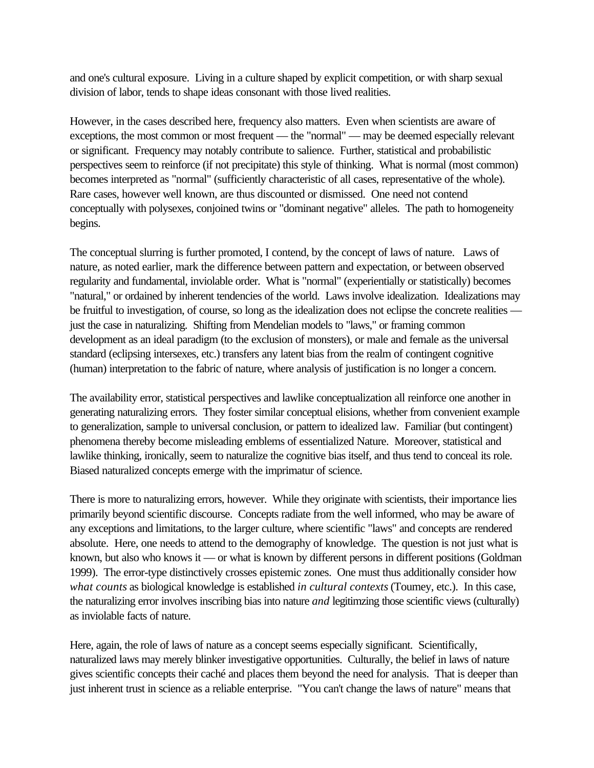and one's cultural exposure. Living in a culture shaped by explicit competition, or with sharp sexual division of labor, tends to shape ideas consonant with those lived realities.

However, in the cases described here, frequency also matters. Even when scientists are aware of exceptions, the most common or most frequent — the "normal" — may be deemed especially relevant or significant. Frequency may notably contribute to salience. Further, statistical and probabilistic perspectives seem to reinforce (if not precipitate) this style of thinking. What is normal (most common) becomes interpreted as "normal" (sufficiently characteristic of all cases, representative of the whole). Rare cases, however well known, are thus discounted or dismissed. One need not contend conceptually with polysexes, conjoined twins or "dominant negative" alleles. The path to homogeneity begins.

The conceptual slurring is further promoted, I contend, by the concept of laws of nature. Laws of nature, as noted earlier, mark the difference between pattern and expectation, or between observed regularity and fundamental, inviolable order. What is "normal" (experientially or statistically) becomes "natural," or ordained by inherent tendencies of the world. Laws involve idealization. Idealizations may be fruitful to investigation, of course, so long as the idealization does not eclipse the concrete realities just the case in naturalizing. Shifting from Mendelian models to "laws," or framing common development as an ideal paradigm (to the exclusion of monsters), or male and female as the universal standard (eclipsing intersexes, etc.) transfers any latent bias from the realm of contingent cognitive (human) interpretation to the fabric of nature, where analysis of justification is no longer a concern.

The availability error, statistical perspectives and lawlike conceptualization all reinforce one another in generating naturalizing errors. They foster similar conceptual elisions, whether from convenient example to generalization, sample to universal conclusion, or pattern to idealized law. Familiar (but contingent) phenomena thereby become misleading emblems of essentialized Nature. Moreover, statistical and lawlike thinking, ironically, seem to naturalize the cognitive bias itself, and thus tend to conceal its role. Biased naturalized concepts emerge with the imprimatur of science.

There is more to naturalizing errors, however. While they originate with scientists, their importance lies primarily beyond scientific discourse. Concepts radiate from the well informed, who may be aware of any exceptions and limitations, to the larger culture, where scientific "laws" and concepts are rendered absolute. Here, one needs to attend to the demography of knowledge. The question is not just what is known, but also who knows it — or what is known by different persons in different positions (Goldman 1999). The error-type distinctively crosses epistemic zones. One must thus additionally consider how *what counts* as biological knowledge is established *in cultural contexts* (Toumey, etc.). In this case, the naturalizing error involves inscribing bias into nature *and* legitimzing those scientific views (culturally) as inviolable facts of nature.

Here, again, the role of laws of nature as a concept seems especially significant. Scientifically, naturalized laws may merely blinker investigative opportunities. Culturally, the belief in laws of nature gives scientific concepts their caché and places them beyond the need for analysis. That is deeper than just inherent trust in science as a reliable enterprise. "You can't change the laws of nature" means that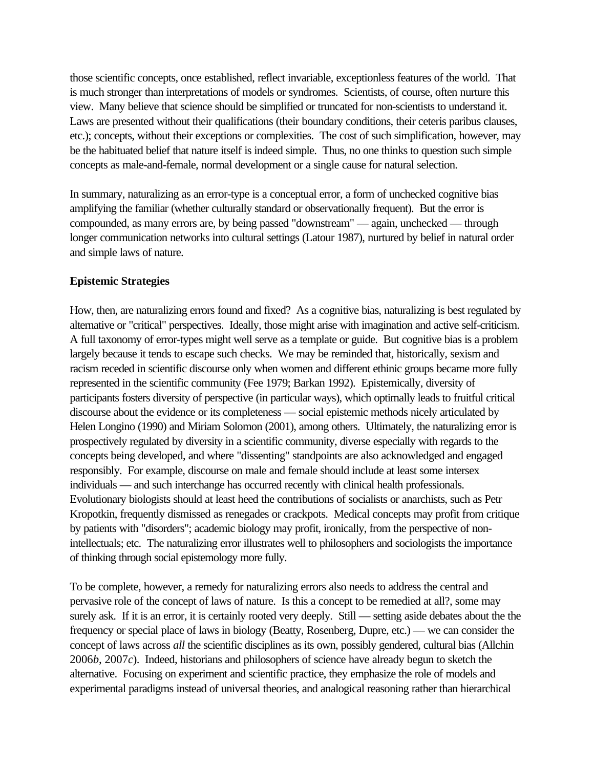those scientific concepts, once established, reflect invariable, exceptionless features of the world. That is much stronger than interpretations of models or syndromes. Scientists, of course, often nurture this view. Many believe that science should be simplified or truncated for non-scientists to understand it. Laws are presented without their qualifications (their boundary conditions, their ceteris paribus clauses, etc.); concepts, without their exceptions or complexities. The cost of such simplification, however, may be the habituated belief that nature itself is indeed simple. Thus, no one thinks to question such simple concepts as male-and-female, normal development or a single cause for natural selection.

In summary, naturalizing as an error-type is a conceptual error, a form of unchecked cognitive bias amplifying the familiar (whether culturally standard or observationally frequent). But the error is compounded, as many errors are, by being passed "downstream" — again, unchecked — through longer communication networks into cultural settings (Latour 1987), nurtured by belief in natural order and simple laws of nature.

### **Epistemic Strategies**

How, then, are naturalizing errors found and fixed? As a cognitive bias, naturalizing is best regulated by alternative or "critical" perspectives. Ideally, those might arise with imagination and active self-criticism. A full taxonomy of error-types might well serve as a template or guide. But cognitive bias is a problem largely because it tends to escape such checks. We may be reminded that, historically, sexism and racism receded in scientific discourse only when women and different ethinic groups became more fully represented in the scientific community (Fee 1979; Barkan 1992). Epistemically, diversity of participants fosters diversity of perspective (in particular ways), which optimally leads to fruitful critical discourse about the evidence or its completeness — social epistemic methods nicely articulated by Helen Longino (1990) and Miriam Solomon (2001), among others. Ultimately, the naturalizing error is prospectively regulated by diversity in a scientific community, diverse especially with regards to the concepts being developed, and where "dissenting" standpoints are also acknowledged and engaged responsibly. For example, discourse on male and female should include at least some intersex individuals — and such interchange has occurred recently with clinical health professionals. Evolutionary biologists should at least heed the contributions of socialists or anarchists, such as Petr Kropotkin, frequently dismissed as renegades or crackpots. Medical concepts may profit from critique by patients with "disorders"; academic biology may profit, ironically, from the perspective of nonintellectuals; etc. The naturalizing error illustrates well to philosophers and sociologists the importance of thinking through social epistemology more fully.

To be complete, however, a remedy for naturalizing errors also needs to address the central and pervasive role of the concept of laws of nature. Is this a concept to be remedied at all?, some may surely ask. If it is an error, it is certainly rooted very deeply. Still — setting aside debates about the the frequency or special place of laws in biology (Beatty, Rosenberg, Dupre, etc.) — we can consider the concept of laws across *all* the scientific disciplines as its own, possibly gendered, cultural bias (Allchin 2006*b*, 2007*c*). Indeed, historians and philosophers of science have already begun to sketch the alternative. Focusing on experiment and scientific practice, they emphasize the role of models and experimental paradigms instead of universal theories, and analogical reasoning rather than hierarchical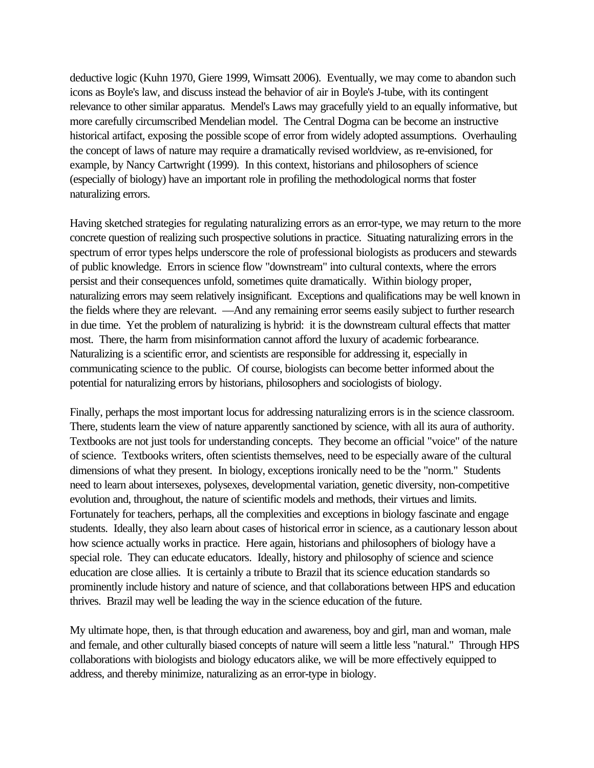deductive logic (Kuhn 1970, Giere 1999, Wimsatt 2006). Eventually, we may come to abandon such icons as Boyle's law, and discuss instead the behavior of air in Boyle's J-tube, with its contingent relevance to other similar apparatus. Mendel's Laws may gracefully yield to an equally informative, but more carefully circumscribed Mendelian model. The Central Dogma can be become an instructive historical artifact, exposing the possible scope of error from widely adopted assumptions. Overhauling the concept of laws of nature may require a dramatically revised worldview, as re-envisioned, for example, by Nancy Cartwright (1999). In this context, historians and philosophers of science (especially of biology) have an important role in profiling the methodological norms that foster naturalizing errors.

Having sketched strategies for regulating naturalizing errors as an error-type, we may return to the more concrete question of realizing such prospective solutions in practice. Situating naturalizing errors in the spectrum of error types helps underscore the role of professional biologists as producers and stewards of public knowledge. Errors in science flow "downstream" into cultural contexts, where the errors persist and their consequences unfold, sometimes quite dramatically. Within biology proper, naturalizing errors may seem relatively insignificant. Exceptions and qualifications may be well known in the fields where they are relevant. —And any remaining error seems easily subject to further research in due time. Yet the problem of naturalizing is hybrid: it is the downstream cultural effects that matter most. There, the harm from misinformation cannot afford the luxury of academic forbearance. Naturalizing is a scientific error, and scientists are responsible for addressing it, especially in communicating science to the public. Of course, biologists can become better informed about the potential for naturalizing errors by historians, philosophers and sociologists of biology.

Finally, perhaps the most important locus for addressing naturalizing errors is in the science classroom. There, students learn the view of nature apparently sanctioned by science, with all its aura of authority. Textbooks are not just tools for understanding concepts. They become an official "voice" of the nature of science. Textbooks writers, often scientists themselves, need to be especially aware of the cultural dimensions of what they present. In biology, exceptions ironically need to be the "norm." Students need to learn about intersexes, polysexes, developmental variation, genetic diversity, non-competitive evolution and, throughout, the nature of scientific models and methods, their virtues and limits. Fortunately for teachers, perhaps, all the complexities and exceptions in biology fascinate and engage students. Ideally, they also learn about cases of historical error in science, as a cautionary lesson about how science actually works in practice. Here again, historians and philosophers of biology have a special role. They can educate educators. Ideally, history and philosophy of science and science education are close allies. It is certainly a tribute to Brazil that its science education standards so prominently include history and nature of science, and that collaborations between HPS and education thrives. Brazil may well be leading the way in the science education of the future.

My ultimate hope, then, is that through education and awareness, boy and girl, man and woman, male and female, and other culturally biased concepts of nature will seem a little less "natural." Through HPS collaborations with biologists and biology educators alike, we will be more effectively equipped to address, and thereby minimize, naturalizing as an error-type in biology.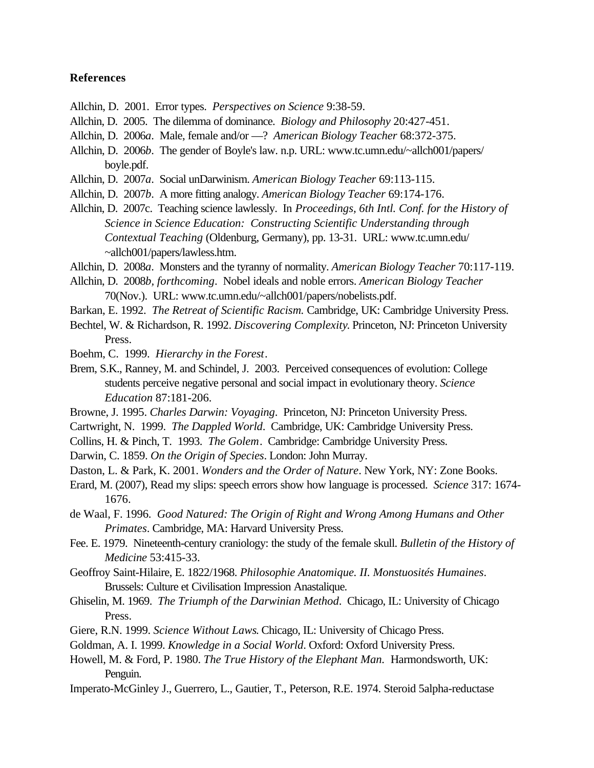#### **References**

- Allchin, D. 2001. Error types. *Perspectives on Science* 9:38-59.
- Allchin, D. 2005. The dilemma of dominance. *Biology and Philosophy* 20:427-451.
- Allchin, D. 2006*a*. Male, female and/or —? *American Biology Teacher* 68:372-375.
- Allchin, D. 2006*b*. The gender of Boyle's law. n.p. URL: www.tc.umn.edu/~allch001/papers/ boyle.pdf.
- Allchin, D. 2007*a*. Social unDarwinism. *American Biology Teacher* 69:113-115.
- Allchin, D. 2007*b*. A more fitting analogy. *American Biology Teacher* 69:174-176.
- Allchin, D. 2007c. Teaching science lawlessly. In *Proceedings, 6th Intl. Conf. for the History of Science in Science Education: Constructing Scientific Understanding through Contextual Teaching* (Oldenburg, Germany), pp. 13-31. URL: www.tc.umn.edu/ ~allch001/papers/lawless.htm.
- Allchin, D. 2008*a*. Monsters and the tyranny of normality. *American Biology Teacher* 70:117-119.
- Allchin, D. 2008*b, forthcoming*. Nobel ideals and noble errors. *American Biology Teacher* 70(Nov.). URL: www.tc.umn.edu/~allch001/papers/nobelists.pdf.
- Barkan, E. 1992. *The Retreat of Scientific Racism.* Cambridge, UK: Cambridge University Press.
- Bechtel, W. & Richardson, R. 1992. *Discovering Complexity*. Princeton, NJ: Princeton University Press.
- Boehm, C. 1999. *Hierarchy in the Forest*.
- Brem, S.K., Ranney, M. and Schindel, J. 2003. Perceived consequences of evolution: College students perceive negative personal and social impact in evolutionary theory. *Science Education* 87:181-206.
- Browne, J. 1995. *Charles Darwin: Voyaging*. Princeton, NJ: Princeton University Press.
- Cartwright, N. 1999. *The Dappled World*. Cambridge, UK: Cambridge University Press.
- Collins, H. & Pinch, T. 1993. *The Golem*. Cambridge: Cambridge University Press.
- Darwin, C. 1859. *On the Origin of Species*. London: John Murray.
- Daston, L. & Park, K. 2001. *Wonders and the Order of Nature*. New York, NY: Zone Books.
- Erard, M. (2007), Read my slips: speech errors show how language is processed. *Science* 317: 1674- 1676.
- de Waal, F. 1996. *Good Natured: The Origin of Right and Wrong Among Humans and Other Primates*. Cambridge, MA: Harvard University Press.
- Fee. E. 1979. Nineteenth-century craniology: the study of the female skull. *Bulletin of the History of Medicine* 53:415-33.
- Geoffroy Saint-Hilaire, E. 1822/1968. *Philosophie Anatomique. II. Monstuosités Humaines*. Brussels: Culture et Civilisation Impression Anastalique.
- Ghiselin, M. 1969. *The Triumph of the Darwinian Method*. Chicago, IL: University of Chicago Press.
- Giere, R.N. 1999. *Science Without Laws*. Chicago, IL: University of Chicago Press.
- Goldman, A. I. 1999. *Knowledge in a Social World*. Oxford: Oxford University Press.
- Howell, M. & Ford, P. 1980. *The True History of the Elephant Man.* Harmondsworth, UK: Penguin.
- Imperato-McGinley J., Guerrero, L., Gautier, T., Peterson, R.E. 1974. Steroid 5alpha-reductase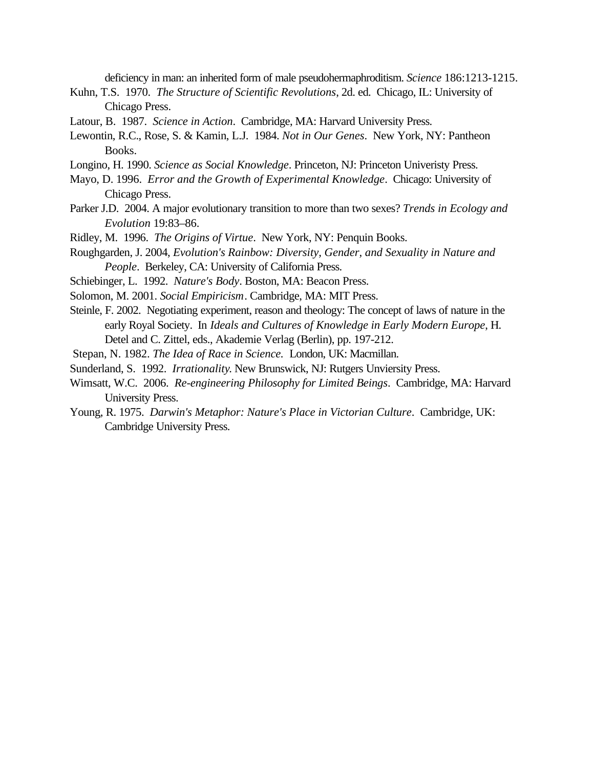deficiency in man: an inherited form of male pseudohermaphroditism. *Science* 186:1213-1215.

- Kuhn, T.S. 1970. *The Structure of Scientific Revolutions*, 2d. ed. Chicago, IL: University of Chicago Press.
- Latour, B. 1987. *Science in Action*. Cambridge, MA: Harvard University Press.
- Lewontin, R.C., Rose, S. & Kamin, L.J. 1984. *Not in Our Genes*. New York, NY: Pantheon Books.
- Longino, H. 1990. *Science as Social Knowledge*. Princeton, NJ: Princeton Univeristy Press.
- Mayo, D. 1996. *Error and the Growth of Experimental Knowledge*. Chicago: University of Chicago Press.
- Parker J.D. 2004. A major evolutionary transition to more than two sexes? *Trends in Ecology and Evolution* 19:83–86.
- Ridley, M. 1996. *The Origins of Virtue*. New York, NY: Penquin Books.
- Roughgarden, J. 2004, *Evolution's Rainbow: Diversity, Gender, and Sexuality in Nature and People*. Berkeley, CA: University of California Press.
- Schiebinger, L. 1992. *Nature's Body*. Boston, MA: Beacon Press.
- Solomon, M. 2001. *Social Empiricism*. Cambridge, MA: MIT Press.
- Steinle, F. 2002. Negotiating experiment, reason and theology: The concept of laws of nature in the early Royal Society. In *Ideals and Cultures of Knowledge in Early Modern Europe*, H. Detel and C. Zittel, eds., Akademie Verlag (Berlin), pp. 197-212.
- Stepan, N. 1982. *The Idea of Race in Science.* London, UK: Macmillan.
- Sunderland, S. 1992. *Irrationality*. New Brunswick, NJ: Rutgers Unviersity Press.
- Wimsatt, W.C. 2006. *Re-engineering Philosophy for Limited Beings*. Cambridge, MA: Harvard University Press.
- Young, R. 1975. *Darwin's Metaphor: Nature's Place in Victorian Culture*. Cambridge, UK: Cambridge University Press.